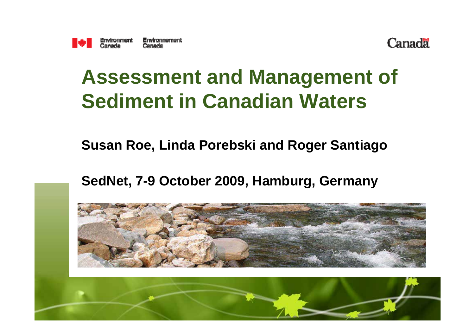



#### **Assessment and Management of Sediment in Canadian Waters**

#### **Susan Roe, Linda Porebski and Roger Santiago**

**SedNet, 7-9 October 2009, Hamburg, Germany**

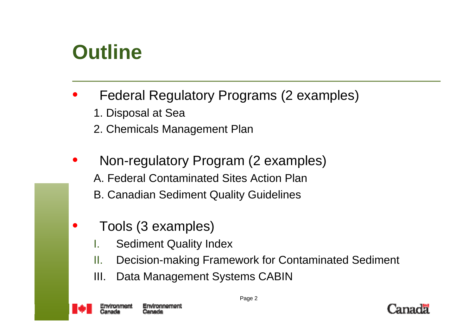#### **Outline**

- Federal Regulatory Programs (2 examples)
	- 1. Disposal at Sea
	- 2. Chemicals Management Plan
- Non-regulatory Program (2 examples) A. Federal Contaminated Sites Action PlanB. Canadian Sediment Quality Guidelines
- Tools (3 examples)
	- **Sediment Quality Index**
	- II. Decision-making Framework for Contaminated Sediment
	- III. Data Management Systems CABIN



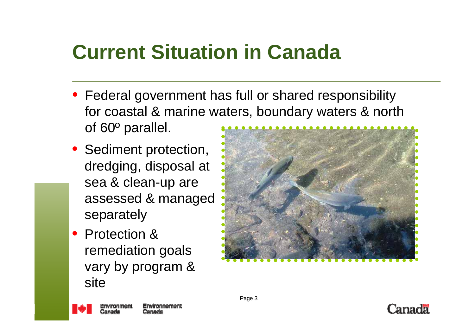# **Current Situation in Canada**

- Federal government has full or shared responsibility for coastal & marine waters, boundary waters & north of 60º parallel.
- Sediment protection, dredging, disposal at sea & clean-up are assessed & managed separately
- Protection & remediation goals vary by program & site





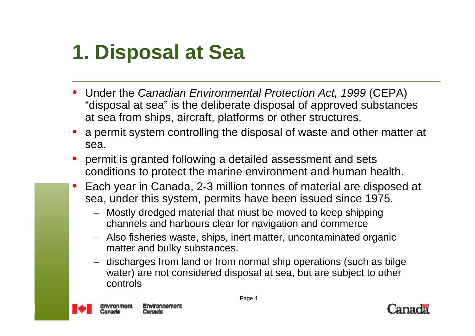# **1. Disposal at Sea**

- Under the *Canadian Environmental Protection Act, 1999* (CEPA) "disposal at sea" is the deliberate disposal of approved substances at sea from ships, aircraft, platforms or other structures.
- a permit system controlling the disposal of waste and other matter at sea.
- permit is granted following a detailed assessment and sets conditions to protect the marine environment and human health.
- Each year in Canada, 2-3 million tonnes of material are disposed at sea, under this system, permits have been issued since 1975.
	- Mostly dredged material that must be moved to keep shipping channels and harbours clear for navigation and commerce
	- Also fisheries waste, ships, inert matter, uncontaminated organic matter and bulky substances.
	- discharges from land or from normal ship operations (such as bilge water) are not considered disposal at sea, but are subject to other controls



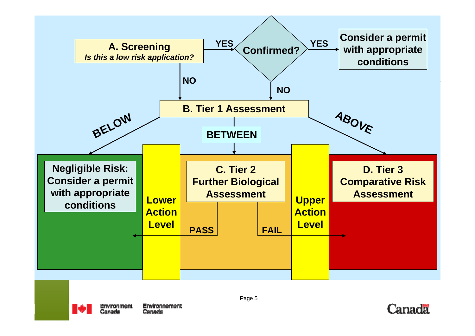



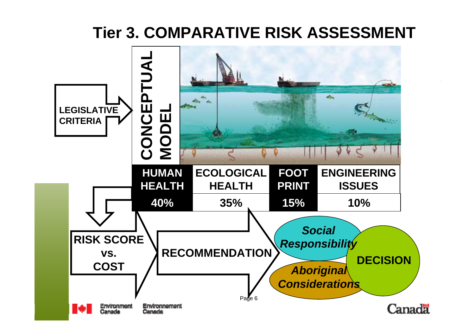#### **Tier 3. COMPARATIVE RISK ASSESSMENT**

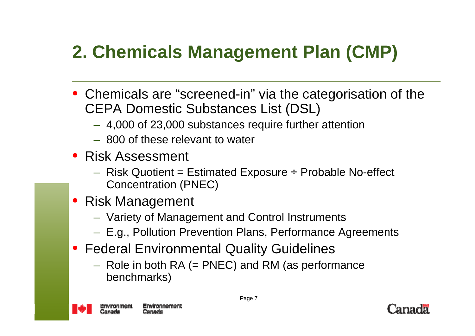### **2. Chemicals Management Plan (CMP)**

- Chemicals are "screened-in" via the categorisation of the CEPA Domestic Substances List (DSL)
	- 4,000 of 23,000 substances require further attention
	- 800 of these relevant to water
- Risk Assessment
	- $-$  Risk Quotient = Estimated Exposure  $\div$  Probable No-effect Concentration (PNEC)
- Risk Management
	- Variety of Management and Control Instruments
	- E.g., Pollution Prevention Plans, Performance Agreements
- Federal Environmental Quality Guidelines
	- $-$  Role in both RA (= PNEC) and RM (as performance benchmarks)



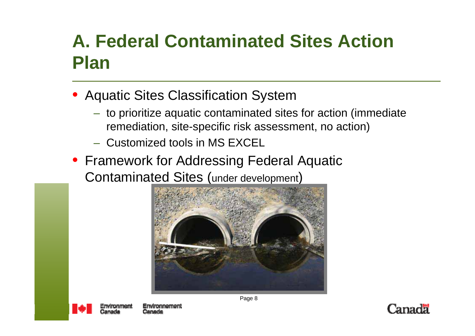#### **A. Federal Contaminated Sites Action Plan**

- Aquatic Sites Classification System
	- to prioritize aquatic contaminated sites for action (immediate remediation, site-specific risk assessment, no action)
	- Customized tools in MS EXCEL
- Framework for Addressing Federal Aquatic Contaminated Sites (under development)





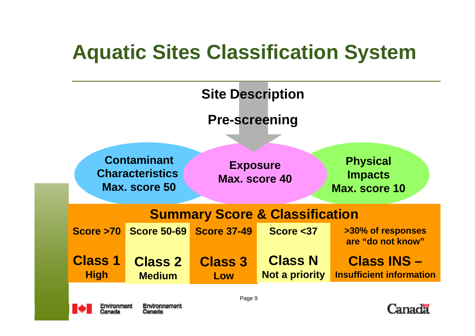## **Aquatic Sites Classification System**





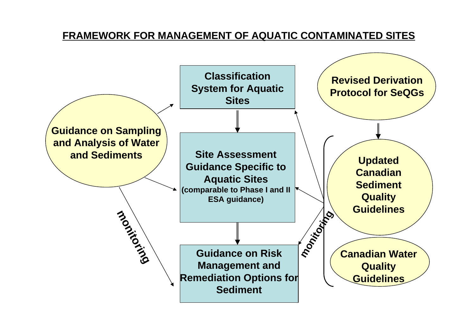#### **FRAMEWORK FOR MANAGEMENT OF AQUATIC CONTAMINATED SITES**

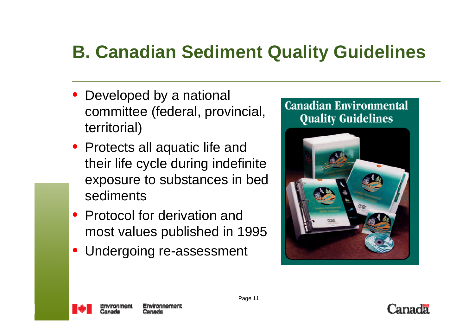#### **B. Canadian Sediment Quality Guidelines**

- Developed by a national committee (federal, provincial, territorial)
- Protects all aquatic life and their life cycle during indefinite exposure to substances in bed sediments
- Protocol for derivation and most values published in 1995
- Undergoing re-assessment





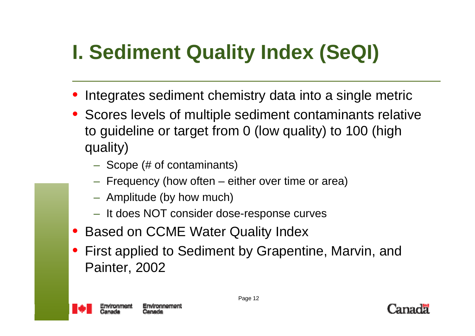# **I. Sediment Quality Index (SeQI)**

- Integrates sediment chemistry data into a single metric
- Scores levels of multiple sediment contaminants relative to guideline or target from 0 (low quality) to 100 (high quality)
	- Scope (# of contaminants)
	- Frequency (how often either over time or area)
	- Amplitude (by how much)
	- It does NOT consider dose-response curves
- Based on CCME Water Quality Index
- First applied to Sediment by Grapentine, Marvin, and Painter, 2002



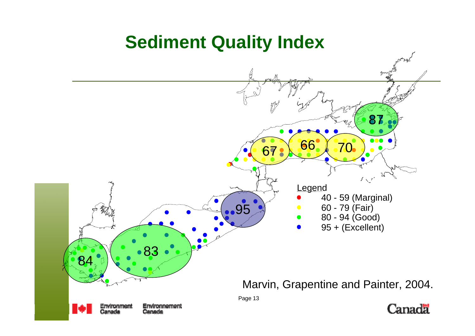#### **Sediment Quality Index**

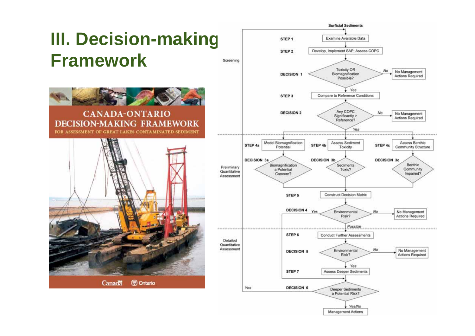#### **III. Decision-making Framework**



#### **CANADA-ONTARIO DECISION-MAKING FRAMEWORK** FOR ASSESSMENT OF GREAT LAKES CONTAMINATED SEDIMENT



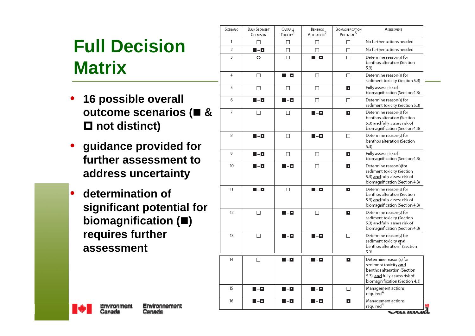#### **Full Decision Matrix**

- **16 possible overall outcome scenarios ( & not distinct)**
- **guidance provided for further assessment to address uncertainty**
- **determination of significant potential for biomagnification () requires further assessment**

| SCENARIO | <b>BULK SEDIMENT</b><br>CHEMISTRY | OVERALL<br>Toxicity <sup>1</sup> | BENTHOS<br>ALTERATION <sup>2</sup> | BIOMAGNIFICATION<br>POTENTIAL <sup>3</sup> | ASSESSMENT                                                                                                                                          |
|----------|-----------------------------------|----------------------------------|------------------------------------|--------------------------------------------|-----------------------------------------------------------------------------------------------------------------------------------------------------|
| 1        | п                                 | п                                | □                                  | п                                          | No further actions needed                                                                                                                           |
| 2        | $\blacksquare$ - $\blacksquare$   | □                                | $\Box$                             | $\Box$                                     | No further actions needed                                                                                                                           |
| 3        | O                                 | П.                               | N - O                              | П                                          | Determine reason(s) for<br>benthos alteration (Section<br>5.3                                                                                       |
| 4        | □                                 | $\blacksquare$ - $\blacksquare$  | □                                  | $\Box$                                     | Determine reason(s) for<br>sediment toxicity (Section 5.3)                                                                                          |
| 5        | □                                 | □                                | □                                  | о                                          | Fully assess risk of<br>biomagnification (Section 4.3)                                                                                              |
| 6        | N - O                             | N - O                            | п                                  | п                                          | Determine reason(s) for<br>sediment toxicity (Section 5.3)                                                                                          |
| 7        | п                                 | п                                | N - O                              | о                                          | Determine reason(s) for<br>benthos alteration (Section<br>5.3) and fully assess risk of<br>biomagnification (Section 4.3)                           |
| 8        | $\blacksquare$ - $\blacksquare$   | П                                | $\blacksquare$ - $\blacksquare$    | П                                          | Determine reason(s) for<br>benthos alteration (Section<br>5.3)                                                                                      |
| 9        | 8 - C                             | □                                | □                                  | о                                          | Fully assess risk of<br>biomagnification (Section 4.3)                                                                                              |
| 10       | $\blacksquare$ - $\blacksquare$   | N - O                            | п                                  | о                                          | Determine reason(s)for<br>sediment toxicity (Section<br>5.3) and fully assess risk of<br>biomagnification (Section 4.3)                             |
| 11       | M - O                             | $\Box$                           | $\blacksquare$ - $\blacksquare$    | о                                          | Determine reason(s) for<br>benthos alteration (Section<br>5.3) and fully assess risk of<br>biomagnification (Section 4.3)                           |
| 12       | □                                 | N - O                            | п                                  | о                                          | Determine reason(s) for<br>sediment toxicity (Section<br>5.3) and fully assess risk of<br>biomagnification (Section 4.3)                            |
| 13       | П                                 | M - O                            | M - O                              | П                                          | Determine reason(s) for<br>sediment toxicity and<br>benthos alteration <sup>2</sup> (Section<br>531                                                 |
| 14       | П                                 | N - O                            | $\blacksquare$ - $\blacksquare$    | o                                          | Determine reason(s) for<br>sediment toxicity and<br>benthos alteration (Section<br>5.3), and fully assess risk of<br>biomagnification (Section 4.3) |
| 15       | $\blacksquare$ - $\blacksquare$   | $\blacksquare$ - $\blacksquare$  | $\blacksquare$ - $\blacksquare$    | □                                          | Management actions<br>required <sup>4</sup>                                                                                                         |
| 16       | $\blacksquare$ - $\blacksquare$   | M - O                            | $\blacksquare$ – $\blacksquare$    | о                                          | Management actions<br>required <sup>4</sup>                                                                                                         |

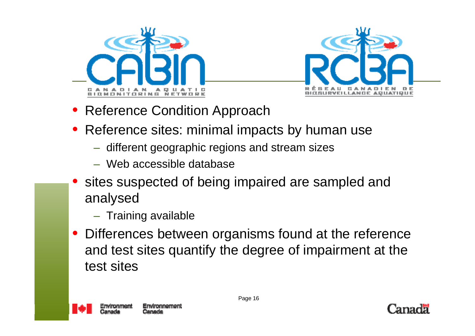



- Reference Condition Approach
- Reference sites: minimal impacts by human use
	- different geographic regions and stream sizes
	- Web accessible database
- sites suspected of being impaired are sampled and analysed
	- Training available
- Differences between organisms found at the reference and test sites quantify the degree of impairment at the test sites



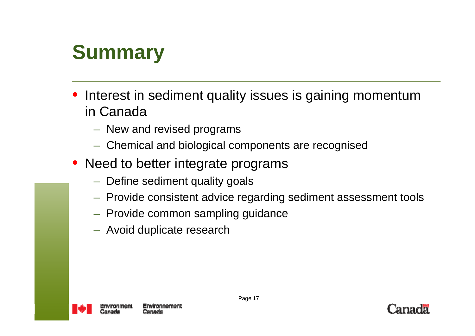# **Summary**

- Interest in sediment quality issues is gaining momentum in Canada
	- New and revised programs
	- Chemical and biological components are recognised
- Need to better integrate programs
	- Define sediment quality goals
	- Provide consistent advice regarding sediment assessment tools
	- Provide common sampling guidance
	- Avoid duplicate research